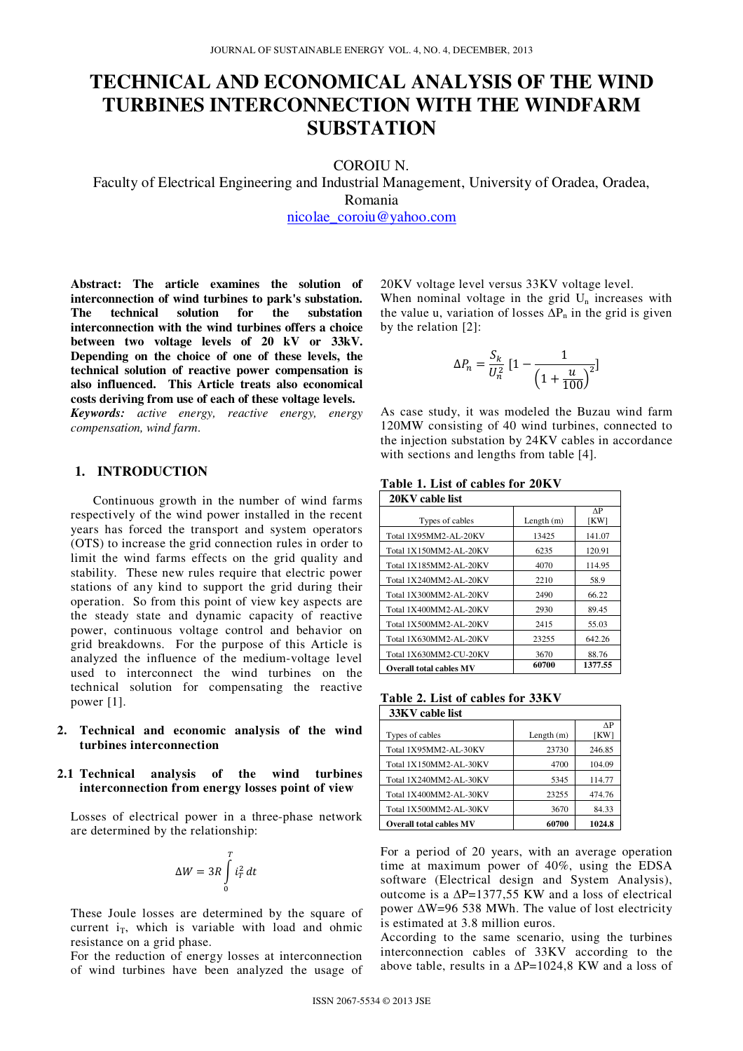# **TECHNICAL AND ECONOMICAL ANALYSIS OF THE WIND TURBINES INTERCONNECTION WITH THE WINDFARM SUBSTATION**

COROIU N.

Faculty of Electrical Engineering and Industrial Management, University of Oradea, Oradea, Romania

nicolae\_coroiu@yahoo.com

**Abstract: The article examines the solution of interconnection of wind turbines to park's substation. The technical solution for the substation interconnection with the wind turbines offers a choice between two voltage levels of 20 kV or 33kV. Depending on the choice of one of these levels, the technical solution of reactive power compensation is also influenced. This Article treats also economical costs deriving from use of each of these voltage levels.** 

*Keywords: active energy, reactive energy, energy compensation, wind farm*.

## **1. INTRODUCTION**

Continuous growth in the number of wind farms respectively of the wind power installed in the recent years has forced the transport and system operators (OTS) to increase the grid connection rules in order to limit the wind farms effects on the grid quality and stability. These new rules require that electric power stations of any kind to support the grid during their operation. So from this point of view key aspects are the steady state and dynamic capacity of reactive power, continuous voltage control and behavior on grid breakdowns. For the purpose of this Article is analyzed the influence of the medium-voltage level used to interconnect the wind turbines on the technical solution for compensating the reactive power [1].

**2. Technical and economic analysis of the wind turbines interconnection** 

### **2.1 Technical analysis of the wind turbines interconnection from energy losses point of view**

Losses of electrical power in a three-phase network are determined by the relationship:

$$
\Delta W = 3R \int\limits_0^T i_T^2 dt
$$

These Joule losses are determined by the square of current  $i_T$ , which is variable with load and ohmic resistance on a grid phase.

For the reduction of energy losses at interconnection of wind turbines have been analyzed the usage of 20KV voltage level versus 33KV voltage level.

When nominal voltage in the grid  $U_n$  increases with the value u, variation of losses  $\Delta P_n$  in the grid is given by the relation [2]:

$$
\Delta P_n = \frac{S_k}{U_n^2} \left[ 1 - \frac{1}{\left( 1 + \frac{u}{100} \right)^2} \right]
$$

As case study, it was modeled the Buzau wind farm 120MW consisting of 40 wind turbines, connected to the injection substation by 24KV cables in accordance with sections and lengths from table [4].

**Table 1. List of cables for 20KV**

| 20KV cable list                |              |            |
|--------------------------------|--------------|------------|
| Types of cables                | Length $(m)$ | ΛP<br>[KW] |
| Total 1X95MM2-AL-20KV          | 13425        | 141.07     |
| Total 1X150MM2-AL-20KV         | 6235         | 120.91     |
| Total 1X185MM2-AL-20KV         | 4070         | 114.95     |
| Total 1X240MM2-AL-20KV         | 2210         | 58.9       |
| Total 1X300MM2-AL-20KV         | 2490         | 66.22      |
| Total 1X400MM2-AL-20KV         | 2930         | 89.45      |
| Total 1X500MM2-AL-20KV         | 2415         | 55.03      |
| Total 1X630MM2-AL-20KV         | 23255        | 642.26     |
| Total 1X630MM2-CU-20KV         | 3670         | 88.76      |
| <b>Overall total cables MV</b> | 60700        | 1377.55    |

| Table 2. List of cables for 33KV |  |  |
|----------------------------------|--|--|
| $\frac{1}{2}$ 33KV cable list    |  |  |

| JJIX V VADIV 1196              |              |        |
|--------------------------------|--------------|--------|
|                                |              | ΛP     |
| Types of cables                | Length $(m)$ | [KW]   |
| Total 1X95MM2-AL-30KV          | 23730        | 246.85 |
| Total 1X150MM2-AL-30KV         | 4700         | 104.09 |
| Total 1X240MM2-AL-30KV         | 5345         | 114.77 |
| Total 1X400MM2-AL-30KV         | 23255        | 474.76 |
| Total 1X500MM2-AL-30KV         | 3670         | 84.33  |
| <b>Overall total cables MV</b> | 60700        | 1024.8 |

For a period of 20 years, with an average operation time at maximum power of 40%, using the EDSA software (Electrical design and System Analysis), outcome is a  $\Delta P=1377,55$  KW and a loss of electrical power ∆W=96 538 MWh. The value of lost electricity is estimated at 3.8 million euros.

According to the same scenario, using the turbines interconnection cables of 33KV according to the above table, results in a  $\Delta P=1024.8$  KW and a loss of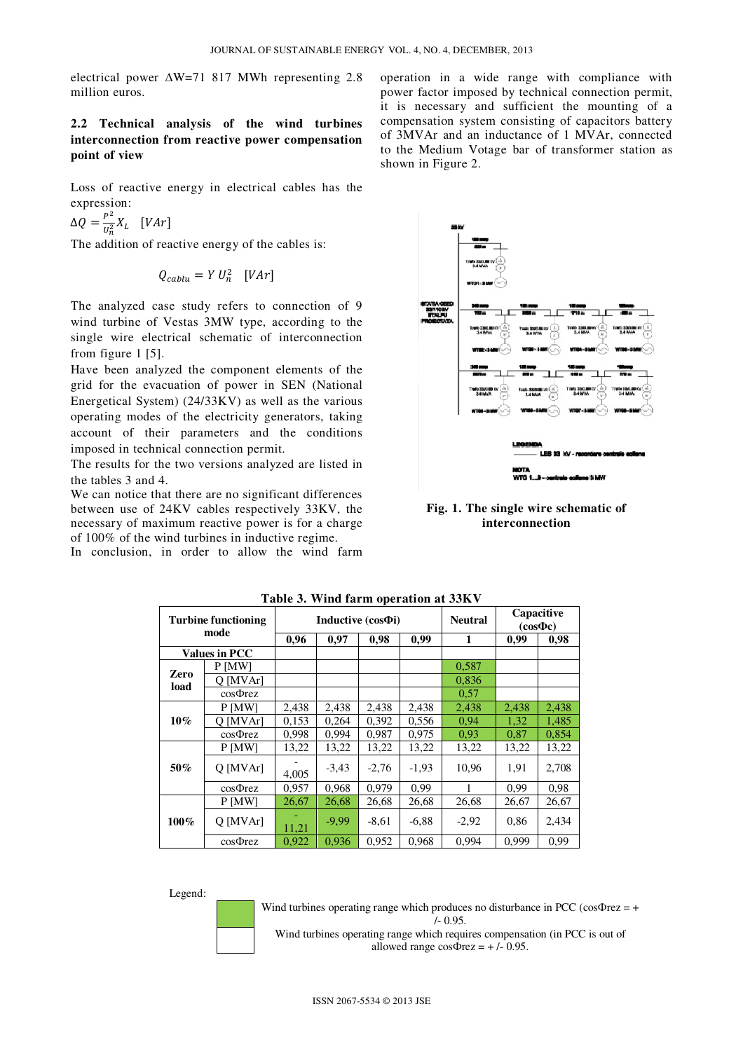electrical power ∆W=71 817 MWh representing 2.8 million euros.

## **2.2 Technical analysis of the wind turbines interconnection from reactive power compensation point of view**

Loss of reactive energy in electrical cables has the expression:

 $\Delta Q = \frac{P^2}{I^2}$  $\frac{1}{U_n^2}X_L$  [VAr]

The addition of reactive energy of the cables is:

$$
Q_{cablu} = Y U_n^2 \quad [VAr]
$$

The analyzed case study refers to connection of 9 wind turbine of Vestas 3MW type, according to the single wire electrical schematic of interconnection from figure 1 [5].

Have been analyzed the component elements of the grid for the evacuation of power in SEN (National Energetical System) (24/33KV) as well as the various operating modes of the electricity generators, taking account of their parameters and the conditions imposed in technical connection permit.

The results for the two versions analyzed are listed in the tables 3 and 4.

We can notice that there are no significant differences between use of 24KV cables respectively 33KV, the necessary of maximum reactive power is for a charge of 100% of the wind turbines in inductive regime.

In conclusion, in order to allow the wind farm

operation in a wide range with compliance with power factor imposed by technical connection permit, it is necessary and sufficient the mounting of a compensation system consisting of capacitors battery of 3MVAr and an inductance of 1 MVAr, connected to the Medium Votage bar of transformer station as shown in Figure 2.



### **Fig. 1. The single wire schematic of interconnection**

| Table 5. Willia farm operation at 55KV |                      |                          |         |         |         |                |                              |       |
|----------------------------------------|----------------------|--------------------------|---------|---------|---------|----------------|------------------------------|-------|
| <b>Turbine functioning</b><br>mode     |                      | Inductive (cos $\Phi$ i) |         |         |         | <b>Neutral</b> | Capacitive<br>$(cos \Phi c)$ |       |
|                                        |                      | 0,96                     | 0,97    | 0,98    | 0,99    | 1              | 0,99                         | 0,98  |
|                                        | <b>Values in PCC</b> |                          |         |         |         |                |                              |       |
|                                        | P [MW]               |                          |         |         |         | 0,587          |                              |       |
| Zero                                   | O [MVAr]             |                          |         |         |         | 0,836          |                              |       |
| load                                   | $cos\Phi$ rez        |                          |         |         |         | 0.57           |                              |       |
|                                        | $P$ [MW]             | 2,438                    | 2,438   | 2,438   | 2,438   | 2,438          | 2,438                        | 2,438 |
| $10\%$                                 | O [MVAr]             | 0,153                    | 0,264   | 0,392   | 0,556   | 0.94           | 1,32                         | 1,485 |
|                                        | $cos\Phi$ rez        | 0,998                    | 0,994   | 0,987   | 0,975   | 0.93           | 0,87                         | 0,854 |
|                                        | $P$ [MW]             | 13,22                    | 13,22   | 13,22   | 13,22   | 13,22          | 13,22                        | 13,22 |
| 50%                                    | O [MVAr]             | 4,005                    | $-3,43$ | $-2,76$ | $-1,93$ | 10.96          | 1,91                         | 2,708 |
|                                        | $cos\Phi$ rez        | 0,957                    | 0,968   | 0,979   | 0.99    |                | 0,99                         | 0.98  |
|                                        | $P$ [MW]             | 26,67                    | 26,68   | 26,68   | 26,68   | 26,68          | 26,67                        | 26,67 |
| $100\%$                                | $Q$ [MVAr]           | 11,21                    | $-9,99$ | $-8,61$ | $-6,88$ | $-2,92$        | 0.86                         | 2,434 |
|                                        | $cos\Phi$ rez        | 0,922                    | 0,936   | 0,952   | 0,968   | 0,994          | 0,999                        | 0.99  |

**Table 3. Wind farm operation at 33KV** 

Legend:

Wind turbines operating range which produces no disturbance in PCC ( $cos\Phi$ rez = + /- 0.95.

Wind turbines operating range which requires compensation (in PCC is out of allowed range  $\cos \Phi$  rez = +/- 0.95.